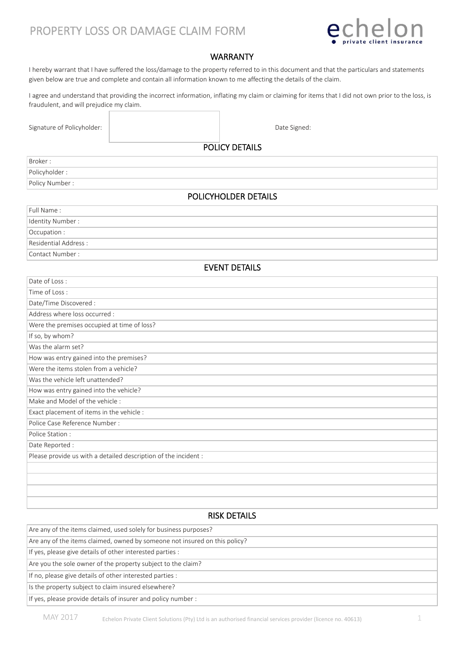# PROPERTY LOSS OR DAMAGE CLAIM FORM



# WARRANTY

I hereby warrant that I have suffered the loss/damage to the property referred to in this document and that the particulars and statements given below are true and complete and contain all information known to me affecting the details of the claim.

I agree and understand that providing the incorrect information, inflating my claim or claiming for items that I did not own prior to the loss, is fraudulent, and will prejudice my claim.

Signature of Policyholder:  $\parallel$  and  $\parallel$  and  $\parallel$  and  $\parallel$  and  $\parallel$  and  $\parallel$  and  $\parallel$  and  $\parallel$  and  $\parallel$  and  $\parallel$  and  $\parallel$  and  $\parallel$  and  $\parallel$  and  $\parallel$  and  $\parallel$  and  $\parallel$  and  $\parallel$  and  $\parallel$  and  $\parallel$  and  $\parallel$  and  $\parallel$  and  $\parallel$  a

POLICY DETAILS

| Policyholder: | Broker:         |  |
|---------------|-----------------|--|
|               |                 |  |
|               | Policy Number : |  |

## POLICYHOLDER DETAILS

| Full Name:           |
|----------------------|
| Identity Number :    |
| Occupation:          |
| Residential Address: |
| Contact Number:      |

#### EVENT DETAILS

| Date of Loss:                                                   |
|-----------------------------------------------------------------|
| Time of Loss:                                                   |
| Date/Time Discovered :                                          |
| Address where loss occurred :                                   |
| Were the premises occupied at time of loss?                     |
| If so, by whom?                                                 |
| Was the alarm set?                                              |
| How was entry gained into the premises?                         |
| Were the items stolen from a vehicle?                           |
| Was the vehicle left unattended?                                |
| How was entry gained into the vehicle?                          |
| Make and Model of the vehicle:                                  |
| Exact placement of items in the vehicle :                       |
| Police Case Reference Number:                                   |
| Police Station:                                                 |
| Date Reported :                                                 |
| Please provide us with a detailed description of the incident : |
|                                                                 |
|                                                                 |
|                                                                 |
|                                                                 |

### RISK DETAILS

| Are any of the items claimed, used solely for business purposes?           |  |  |  |  |  |
|----------------------------------------------------------------------------|--|--|--|--|--|
| Are any of the items claimed, owned by someone not insured on this policy? |  |  |  |  |  |
| If yes, please give details of other interested parties :                  |  |  |  |  |  |
| Are you the sole owner of the property subject to the claim?               |  |  |  |  |  |
| If no, please give details of other interested parties :                   |  |  |  |  |  |
| Is the property subject to claim insured elsewhere?                        |  |  |  |  |  |
| If yes, please provide details of insurer and policy number :              |  |  |  |  |  |